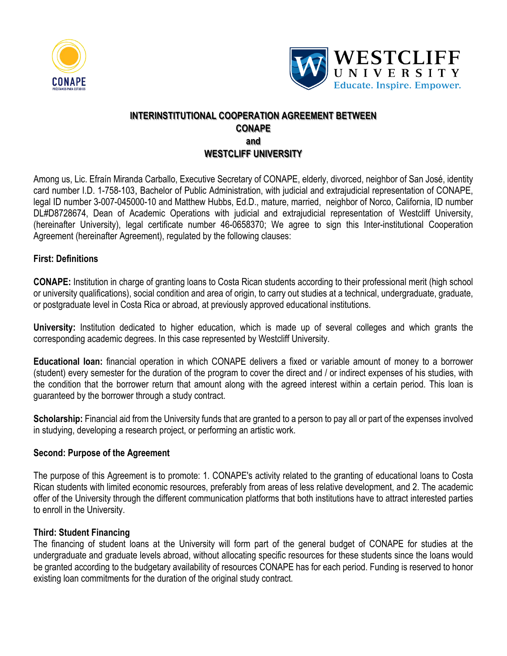



# **INTERINSTITUTIONAL COOPERATION AGREEMENT BETWEEN CONAPE and WESTCLIFF UNIVERSITY**

Among us, Lic. Efraín Miranda Carballo, Executive Secretary of CONAPE, elderly, divorced, neighbor of San José, identity card number I.D. 1-758-103, Bachelor of Public Administration, with judicial and extrajudicial representation of CONAPE, legal ID number 3-007-045000-10 and Matthew Hubbs, Ed.D., mature, married, neighbor of Norco, California, ID number DL#D8728674, Dean of Academic Operations with judicial and extrajudicial representation of Westcliff University, (hereinafter University), legal certificate number 46-0658370; We agree to sign this Inter-institutional Cooperation Agreement (hereinafter Agreement), regulated by the following clauses:

## **First: Definitions**

**CONAPE:** Institution in charge of granting loans to Costa Rican students according to their professional merit (high school or university qualifications), social condition and area of origin, to carry out studies at a technical, undergraduate, graduate, or postgraduate level in Costa Rica or abroad, at previously approved educational institutions.

**University:** Institution dedicated to higher education, which is made up of several colleges and which grants the corresponding academic degrees. In this case represented by Westcliff University.

**Educational loan:** financial operation in which CONAPE delivers a fixed or variable amount of money to a borrower (student) every semester for the duration of the program to cover the direct and / or indirect expenses of his studies, with the condition that the borrower return that amount along with the agreed interest within a certain period. This loan is guaranteed by the borrower through a study contract.

**Scholarship:** Financial aid from the University funds that are granted to a person to pay all or part of the expenses involved in studying, developing a research project, or performing an artistic work.

## **Second: Purpose of the Agreement**

The purpose of this Agreement is to promote: 1. CONAPE's activity related to the granting of educational loans to Costa Rican students with limited economic resources, preferably from areas of less relative development, and 2. The academic offer of the University through the different communication platforms that both institutions have to attract interested parties to enroll in the University.

## **Third: Student Financing**

The financing of student loans at the University will form part of the general budget of CONAPE for studies at the undergraduate and graduate levels abroad, without allocating specific resources for these students since the loans would be granted according to the budgetary availability of resources CONAPE has for each period. Funding is reserved to honor existing loan commitments for the duration of the original study contract.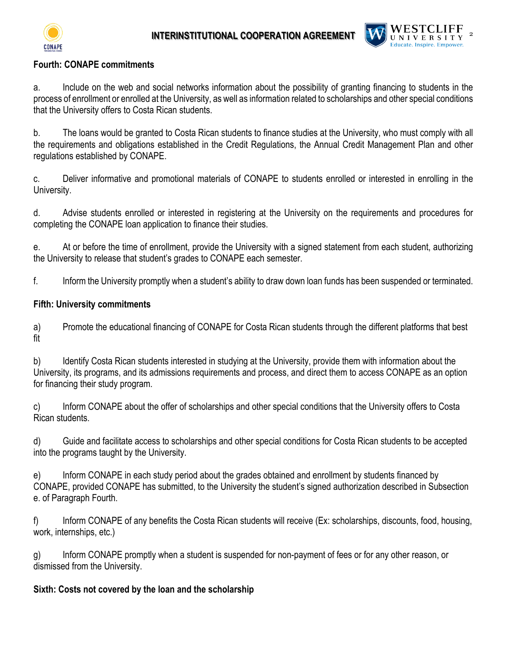



## **Fourth: CONAPE commitments**

a. Include on the web and social networks information about the possibility of granting financing to students in the process of enrollment or enrolled at the University, as well as information related to scholarships and other special conditions that the University offers to Costa Rican students.

b. The loans would be granted to Costa Rican students to finance studies at the University, who must comply with all the requirements and obligations established in the Credit Regulations, the Annual Credit Management Plan and other regulations established by CONAPE.

c. Deliver informative and promotional materials of CONAPE to students enrolled or interested in enrolling in the University.

d. Advise students enrolled or interested in registering at the University on the requirements and procedures for completing the CONAPE loan application to finance their studies.

e. At or before the time of enrollment, provide the University with a signed statement from each student, authorizing the University to release that student's grades to CONAPE each semester.

f. Inform the University promptly when a student's ability to draw down loan funds has been suspended or terminated.

## **Fifth: University commitments**

a) Promote the educational financing of CONAPE for Costa Rican students through the different platforms that best fit

b) Identify Costa Rican students interested in studying at the University, provide them with information about the University, its programs, and its admissions requirements and process, and direct them to access CONAPE as an option for financing their study program.

c) Inform CONAPE about the offer of scholarships and other special conditions that the University offers to Costa Rican students.

d) Guide and facilitate access to scholarships and other special conditions for Costa Rican students to be accepted into the programs taught by the University.

e) Inform CONAPE in each study period about the grades obtained and enrollment by students financed by CONAPE, provided CONAPE has submitted, to the University the student's signed authorization described in Subsection e. of Paragraph Fourth.

f) Inform CONAPE of any benefits the Costa Rican students will receive (Ex: scholarships, discounts, food, housing, work, internships, etc.)

g) Inform CONAPE promptly when a student is suspended for non-payment of fees or for any other reason, or dismissed from the University.

## **Sixth: Costs not covered by the loan and the scholarship**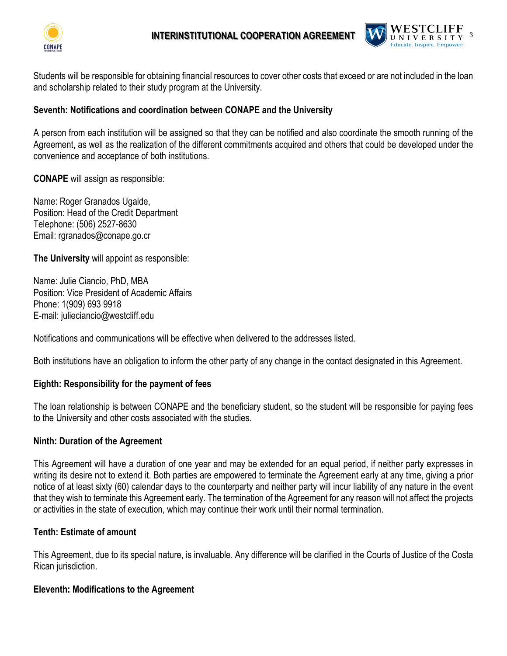



Students will be responsible for obtaining financial resources to cover other costs that exceed or are not included in the loan and scholarship related to their study program at the University.

#### **Seventh: Notifications and coordination between CONAPE and the University**

A person from each institution will be assigned so that they can be notified and also coordinate the smooth running of the Agreement, as well as the realization of the different commitments acquired and others that could be developed under the convenience and acceptance of both institutions.

**CONAPE** will assign as responsible:

Name: Roger Granados Ugalde, Position: Head of the Credit Department Telephone: (506) 2527-8630 Email: rgranados@conape.go.cr

**The University** will appoint as responsible:

Name: Julie Ciancio, PhD, MBA Position: Vice President of Academic Affairs Phone: 1(909) 693 9918 E-mail: julieciancio@westcliff.edu

Notifications and communications will be effective when delivered to the addresses listed.

Both institutions have an obligation to inform the other party of any change in the contact designated in this Agreement.

#### **Eighth: Responsibility for the payment of fees**

The loan relationship is between CONAPE and the beneficiary student, so the student will be responsible for paying fees to the University and other costs associated with the studies.

#### **Ninth: Duration of the Agreement**

This Agreement will have a duration of one year and may be extended for an equal period, if neither party expresses in writing its desire not to extend it. Both parties are empowered to terminate the Agreement early at any time, giving a prior notice of at least sixty (60) calendar days to the counterparty and neither party will incur liability of any nature in the event that they wish to terminate this Agreement early. The termination of the Agreement for any reason will not affect the projects or activities in the state of execution, which may continue their work until their normal termination.

## **Tenth: Estimate of amount**

This Agreement, due to its special nature, is invaluable. Any difference will be clarified in the Courts of Justice of the Costa Rican jurisdiction.

#### **Eleventh: Modifications to the Agreement**